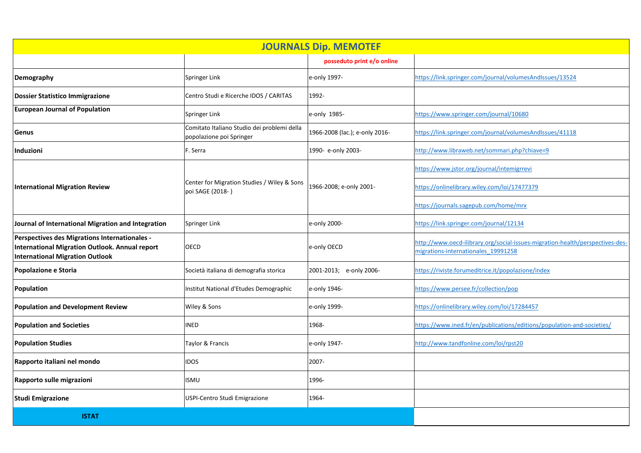| <b>JOURNALS Dip. MEMOTEF</b>                                                                                                              |                                                                         |                                |                                                                                                                      |  |  |
|-------------------------------------------------------------------------------------------------------------------------------------------|-------------------------------------------------------------------------|--------------------------------|----------------------------------------------------------------------------------------------------------------------|--|--|
|                                                                                                                                           |                                                                         | posseduto print e/o online     |                                                                                                                      |  |  |
| Demography                                                                                                                                | Springer Link                                                           | e-only 1997-                   | https://link.springer.com/journal/volumesAndIssues/13524                                                             |  |  |
| Dossier Statistico Immigrazione                                                                                                           | Centro Studi e Ricerche IDOS / CARITAS                                  | 1992-                          |                                                                                                                      |  |  |
| <b>European Journal of Population</b>                                                                                                     | Springer Link                                                           | e-only 1985-                   | https://www.springer.com/journal/10680                                                                               |  |  |
| Genus                                                                                                                                     | Comitato Italiano Studio dei problemi della<br>popolazione poi Springer | 1966-2008 (lac.); e-only 2016- | https://link.springer.com/journal/volumesAndIssues/41118                                                             |  |  |
| Induzioni                                                                                                                                 | F. Serra                                                                | 1990- e-only 2003-             | http://www.libraweb.net/sommari.php?chiave=9                                                                         |  |  |
| <b>International Migration Review</b>                                                                                                     | Center for Migration Studies / Wiley & Sons<br>poi SAGE (2018-)         | 1966-2008; e-only 2001-        | https://www.jstor.org/journal/intemigrrevi                                                                           |  |  |
|                                                                                                                                           |                                                                         |                                | https://onlinelibrary.wiley.com/loi/17477379                                                                         |  |  |
|                                                                                                                                           |                                                                         |                                | https://journals.sagepub.com/home/mrx                                                                                |  |  |
| Journal of International Migration and Integration                                                                                        | Springer Link                                                           | e-only 2000-                   | https://link.springer.com/journal/12134                                                                              |  |  |
| Perspectives des Migrations Internationales -<br>International Migration Outlook. Annual report<br><b>International Migration Outlook</b> | <b>OECD</b>                                                             | e-only OECD                    | http://www.oecd-ilibrary.org/social-issues-migration-health/perspectives-des-<br>migrations-internationales_19991258 |  |  |
| Popolazione e Storia                                                                                                                      | Società italiana di demografia storica                                  | 2001-2013; e-only 2006-        | https://riviste.forumeditrice.it/popolazione/index                                                                   |  |  |
| Population                                                                                                                                | Institut National d'Etudes Demographic                                  | e-only 1946-                   | https://www.persee.fr/collection/pop                                                                                 |  |  |
| <b>Population and Development Review</b>                                                                                                  | Wiley & Sons                                                            | e-only 1999-                   | https://onlinelibrary.wiley.com/loi/17284457                                                                         |  |  |
| <b>Population and Societies</b>                                                                                                           | <b>INED</b>                                                             | 1968-                          | https://www.ined.fr/en/publications/editions/population-and-societies/                                               |  |  |
| <b>Population Studies</b>                                                                                                                 | Taylor & Francis                                                        | e-only 1947-                   | http://www.tandfonline.com/loi/rpst20                                                                                |  |  |
| Rapporto italiani nel mondo                                                                                                               | <b>IDOS</b>                                                             | 2007-                          |                                                                                                                      |  |  |
| Rapporto sulle migrazioni                                                                                                                 | <b>ISMU</b>                                                             | 1996-                          |                                                                                                                      |  |  |
| <b>Studi Emigrazione</b>                                                                                                                  | USPI-Centro Studi Emigrazione                                           | 1964-                          |                                                                                                                      |  |  |
| <b>ISTAT</b>                                                                                                                              |                                                                         |                                |                                                                                                                      |  |  |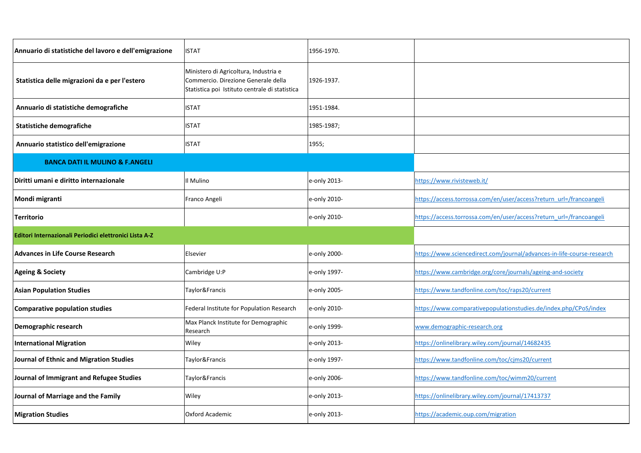| Annuario di statistiche del lavoro e dell'emigrazione  | <b>ISTAT</b>                                                                                                                   | 1956-1970.   |                                                                        |
|--------------------------------------------------------|--------------------------------------------------------------------------------------------------------------------------------|--------------|------------------------------------------------------------------------|
| Statistica delle migrazioni da e per l'estero          | Ministero di Agricoltura, Industria e<br>Commercio. Direzione Generale della<br>Statistica poi Istituto centrale di statistica | 1926-1937.   |                                                                        |
| Annuario di statistiche demografiche                   | <b>ISTAT</b>                                                                                                                   | 1951-1984.   |                                                                        |
| <b>Statistiche demografiche</b>                        | <b>ISTAT</b>                                                                                                                   | 1985-1987;   |                                                                        |
| Annuario statistico dell'emigrazione                   | <b>ISTAT</b>                                                                                                                   | 1955;        |                                                                        |
| <b>BANCA DATI IL MULINO &amp; F.ANGELI</b>             |                                                                                                                                |              |                                                                        |
| Diritti umani e diritto internazionale                 | Il Mulino                                                                                                                      | e-only 2013- | https://www.rivisteweb.it/                                             |
| Mondi migranti                                         | Franco Angeli                                                                                                                  | e-only 2010- | https://access.torrossa.com/en/user/access?return_url=/francoangeli    |
| <b>Territorio</b>                                      |                                                                                                                                | e-only 2010- | https://access.torrossa.com/en/user/access?return_url=/francoangeli    |
| Editori Internazionali Periodici elettronici Lista A-Z |                                                                                                                                |              |                                                                        |
| <b>Advances in Life Course Research</b>                | Elsevier                                                                                                                       | e-only 2000- | https://www.sciencedirect.com/journal/advances-in-life-course-research |
| <b>Ageing &amp; Society</b>                            | Cambridge U:P                                                                                                                  | e-only 1997- | https://www.cambridge.org/core/journals/ageing-and-society             |
| <b>Asian Population Studies</b>                        | Taylor&Francis                                                                                                                 | e-only 2005- | https://www.tandfonline.com/toc/raps20/current                         |
| <b>Comparative population studies</b>                  | Federal Institute for Population Research                                                                                      | e-only 2010- | https://www.comparativepopulationstudies.de/index.php/CPoS/index       |
| Demographic research                                   | Max Planck Institute for Demographic<br>Research                                                                               | e-only 1999- | www.demographic-research.org                                           |
| <b>International Migration</b>                         | Wiley                                                                                                                          | e-only 2013- | https://onlinelibrary.wiley.com/journal/14682435                       |
| Journal of Ethnic and Migration Studies                | Taylor&Francis                                                                                                                 | e-only 1997- | https://www.tandfonline.com/toc/cjms20/current                         |
| Journal of Immigrant and Refugee Studies               | Taylor&Francis                                                                                                                 | e-only 2006- | https://www.tandfonline.com/toc/wimm20/current                         |
| Journal of Marriage and the Family                     | Wiley                                                                                                                          | e-only 2013- | https://onlinelibrary.wiley.com/journal/17413737                       |
| <b>Migration Studies</b>                               | <b>Oxford Academic</b>                                                                                                         | e-only 2013- | https://academic.oup.com/migration                                     |